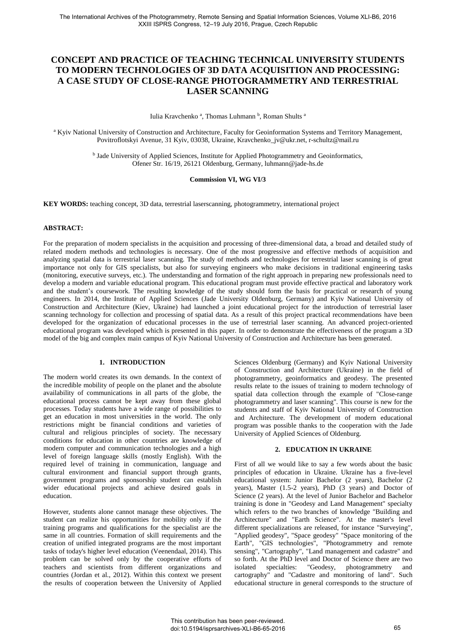# **CONCEPT AND PRACTICE OF TEACHING TECHNICAL UNIVERSITY STUDENTS TO MODERN TECHNOLOGIES OF 3D DATA ACQUISITION AND PROCESSING: A CASE STUDY OF CLOSE-RANGE PHOTOGRAMMETRY AND TERRESTRIAL LASER SCANNING**

Iulia Kravchenko<sup>a</sup>, Thomas Luhmann<sup>b</sup>, Roman Shults<sup>a</sup>

<sup>a</sup> Kyiv National University of Construction and Architecture, Faculty for Geoinformation Systems and Territory Management, Povitroflotskyi Avenue, 31 Kyiv, 03038, Ukraine, Kravchenko\_jv@ukr.net, r-schultz@mail.ru

> <sup>b</sup> Jade University of Applied Sciences, Institute for Applied Photogrammetry and Geoinformatics, Ofener Str. 16/19, 26121 Oldenburg, Germany, luhmann@jade-hs.de

# **Commission VI, WG VI/3**

**KEY WORDS:** teaching concept, 3D data, terrestrial laserscanning, photogrammetry, international project

## **ABSTRACT:**

For the preparation of modern specialists in the acquisition and processing of three-dimensional data, a broad and detailed study of related modern methods and technologies is necessary. One of the most progressive and effective methods of acquisition and analyzing spatial data is terrestrial laser scanning. The study of methods and technologies for terrestrial laser scanning is of great importance not only for GIS specialists, but also for surveying engineers who make decisions in traditional engineering tasks (monitoring, executive surveys, etc.). The understanding and formation of the right approach in preparing new professionals need to develop a modern and variable educational program. This educational program must provide effective practical and laboratory work and the student's coursework. The resulting knowledge of the study should form the basis for practical or research of young engineers. In 2014, the Institute of Applied Sciences (Jade University Oldenburg, Germany) and Kyiv National University of Construction and Architecture (Kiev, Ukraine) had launched a joint educational project for the introduction of terrestrial laser scanning technology for collection and processing of spatial data. As a result of this project practical recommendations have been developed for the organization of educational processes in the use of terrestrial laser scanning. An advanced project-oriented educational program was developed which is presented in this paper. In order to demonstrate the effectiveness of the program a 3D model of the big and complex main campus of Kyiv National University of Construction and Architecture has been generated.

# **1. INTRODUCTION**

The modern world creates its own demands. In the context of the incredible mobility of people on the planet and the absolute availability of communications in all parts of the globe, the educational process cannot be kept away from these global processes. Today students have a wide range of possibilities to get an education in most universities in the world. The only restrictions might be financial conditions and varieties of cultural and religious principles of society. The necessary conditions for education in other countries are knowledge of modern computer and communication technologies and a high level of foreign language skills (mostly English). With the required level of training in communication, language and cultural environment and financial support through grants, government programs and sponsorship student can establish wider educational projects and achieve desired goals in education.

However, students alone cannot manage these objectives. The student can realize his opportunities for mobility only if the training programs and qualifications for the specialist are the same in all countries. Formation of skill requirements and the creation of unified integrated programs are the most important tasks of today's higher level education (Veenendaal, 2014). This problem can be solved only by the cooperative efforts of teachers and scientists from different organizations and countries (Jordan et al., 2012). Within this context we present the results of cooperation between the University of Applied Sciences Oldenburg (Germany) and Kyiv National University of Construction and Architecture (Ukraine) in the field of photogrammetry, geoinformatics and geodesy. The presented results relate to the issues of training to modern technology of spatial data collection through the example of "Close-range photogrammetry and laser scanning". This course is new for the students and staff of Kyiv National University of Construction and Architecture. The development of modern educational program was possible thanks to the cooperation with the Jade University of Applied Sciences of Oldenburg.

### **2. EDUCATION IN UKRAINE**

First of all we would like to say a few words about the basic principles of education in Ukraine. Ukraine has a five-level educational system: Junior Bachelor (2 years), Bachelor (2 years), Master (1.5-2 years), PhD (3 years) and Doctor of Science (2 years). At the level of Junior Bachelor and Bachelor training is done in "Geodesy and Land Management" specialty which refers to the two branches of knowledge "Building and Architecture" and "Earth Science". At the master's level different specializations are released, for instance "Surveying", "Applied geodesy", "Space geodesy" "Space monitoring of the Earth", "GIS technologies", "Photogrammetry and remote sensing", "Cartography", "Land management and cadastre" and so forth. At the PhD level and Doctor of Science there are two isolated specialties: "Geodesy, photogrammetry and cartography" and "Cadastre and monitoring of land". Such educational structure in general corresponds to the structure of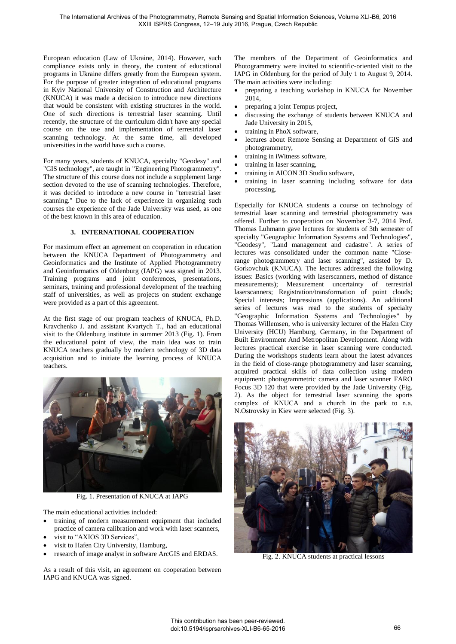European education (Law of Ukraine, 2014). However, such compliance exists only in theory, the content of educational programs in Ukraine differs greatly from the European system. For the purpose of greater integration of educational programs in Kyiv National University of Construction and Architecture (KNUCA) it was made a decision to introduce new directions that would be consistent with existing structures in the world. One of such directions is terrestrial laser scanning. Until recently, the structure of the curriculum didn't have any special course on the use and implementation of terrestrial laser scanning technology. At the same time, all developed universities in the world have such a course.

For many years, students of KNUCA, specialty "Geodesy" and "GIS technology", are taught in "Engineering Photogrammetry". The structure of this course does not include a supplement large section devoted to the use of scanning technologies. Therefore, it was decided to introduce a new course in "terrestrial laser scanning." Due to the lack of experience in organizing such courses the experience of the Jade University was used, as one of the best known in this area of education.

# **3. INTERNATIONAL COOPERATION**

For maximum effect an agreement on cooperation in education between the KNUCA Department of Photogrammetry and Geoinformatics and the Institute of Applied Photogrammetry and Geoinformatics of Oldenburg (IAPG) was signed in 2013. Training programs and joint conferences, presentations, seminars, training and professional development of the teaching staff of universities, as well as projects on student exchange were provided as a part of this agreement.

At the first stage of our program teachers of KNUCA, Ph.D. Kravchenko J. and assistant Kvartych T., had an educational visit to the Oldenburg institute in summer 2013 (Fig. 1). From the educational point of view, the main idea was to train KNUCA teachers gradually by modern technology of 3D data acquisition and to initiate the learning process of KNUCA teachers.



Fig. 1. Presentation of KNUCA at IAPG

The main educational activities included:

- training of modern measurement equipment that included practice of camera calibration and work with laser scanners,
- visit to "AXIOS 3D Services",
- visit to Hafen City University, Hamburg,
- research of image analyst in software ArcGIS and ERDAS.

As a result of this visit, an agreement on cooperation between IAPG and KNUCA was signed.

The members of the Department of Geoinformatics and Photogrammetry were invited to scientific-oriented visit to the IAPG in Oldenburg for the period of July 1 to August 9, 2014. The main activities were including:

- preparing a teaching workshop in KNUCA for November 2014,
- preparing a joint Tempus project,
- discussing the exchange of students between KNUCA and Jade University in 2015,
- training in PhoX software,
- lectures about Remote Sensing at Department of GIS and photogrammetry,
- training in iWitness software,
- training in laser scanning,
- training in AICON 3D Studio software,
- training in laser scanning including software for data processing.

Especially for KNUCA students a course on technology of terrestrial laser scanning and terrestrial photogrammetry was offered. Further to cooperation on November 3-7, 2014 Prof. Thomas Luhmann gave lectures for students of 3th semester of specialty "Geographic Information Systems and Technologies", "Geodesy", "Land management and cadastre". A series of lectures was consolidated under the common name "Closerange photogrammetry and laser scanning", assisted by D. Gorkovchuk (KNUCA). The lectures addressed the following issues: Basics (working with laserscanners, method of distance measurements); Measurement uncertainty of terrestrial laserscanners; Registration/transformation of point clouds; Special interests; Impressions (applications). An additional series of lectures was read to the students of specialty "Geographic Information Systems and Technologies" by Thomas Willemsen, who is university lecturer of the Hafen City University (HCU) Hamburg, Germany, in the Department of Built Environment And Metropolitan Development. Along with lectures practical exercise in laser scanning were conducted. During the workshops students learn about the latest advances in the field of close-range photogrammetry and laser scanning, acquired practical skills of data collection using modern equipment: photogrammetric camera and laser scanner FARO Focus 3D 120 that were provided by the Jade University (Fig. 2). As the object for terrestrial laser scanning the sports complex of KNUCA and a church in the park to n.a. N.Ostrovsky in Kiev were selected (Fig. 3).



Fig. 2. KNUCA students at practical lessons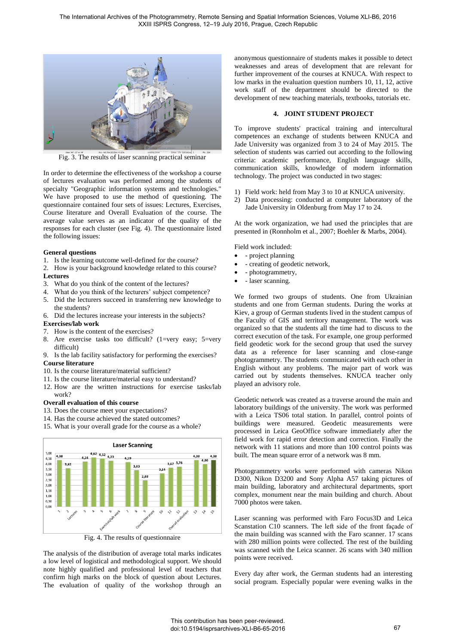

Fig. 3. The results of laser scanning practical seminar

In order to determine the effectiveness of the workshop a course of lectures evaluation was performed among the students of specialty "Geographic information systems and technologies." We have proposed to use the method of questioning. The questionnaire contained four sets of issues: Lectures, Exercises, Course literature and Overall Evaluation of the course. The average value serves as an indicator of the quality of the responses for each cluster (see Fig. 4). The questionnaire listed the following issues:

## **General questions**

- 1. Is the learning outcome well-defined for the course?
- 2. How is your background knowledge related to this course? **Lectures**
- 3. What do you think of the content of the lectures?
- 4. What do you think of the lecturers' subject competence?
- 5. Did the lecturers succeed in transferring new knowledge to the students?
- 6. Did the lectures increase your interests in the subjects?

#### **Exercises/lab work**

- 7. How is the content of the exercises?
- 8. Are exercise tasks too difficult? (1=very easy; 5=very difficult)
- 9. Is the lab facility satisfactory for performing the exercises? **Course literature**
- 10. Is the course literature/material sufficient?
- 11. Is the course literature/material easy to understand?
- 12. How are the written instructions for exercise tasks/lab work?

#### **Overall evaluation of this course**

- 13. Does the course meet your expectations?
- 14. Has the course achieved the stated outcomes?
- 15. What is your overall grade for the course as a whole?



Fig. 4. The results of questionnaire

The analysis of the distribution of average total marks indicates a low level of logistical and methodological support. We should note highly qualified and professional level of teachers that confirm high marks on the block of question about Lectures. The evaluation of quality of the workshop through an anonymous questionnaire of students makes it possible to detect weaknesses and areas of development that are relevant for further improvement of the courses at KNUCA. With respect to low marks in the evaluation question numbers 10, 11, 12, active work staff of the department should be directed to the development of new teaching materials, textbooks, tutorials etc.

## **4. JOINT STUDENT PROJECT**

To improve students' practical training and intercultural competences an exchange of students between KNUCA and Jade University was organized from 3 to 24 of May 2015. The selection of students was carried out according to the following criteria: academic performance, English language skills, communication skills, knowledge of modern information technology. The project was conducted in two stages:

- 1) Field work: held from May 3 to 10 at KNUCA university.
- 2) Data processing: conducted at computer laboratory of the Jade University in Oldenburg from May 17 to 24.

At the work organization, we had used the principles that are presented in (Ronnholm et al., 2007; Boehler & Marbs, 2004).

Field work included:

- project planning
- creating of geodetic network,
- photogrammetry,
- laser scanning.

We formed two groups of students. One from Ukrainian students and one from German students. During the works at Kiev, a group of German students lived in the student campus of the Faculty of GIS and territory management. The work was organized so that the students all the time had to discuss to the correct execution of the task. For example, one group performed field geodetic work for the second group that used the survey data as a reference for laser scanning and close-range photogrammetry. The students communicated with each other in English without any problems. The major part of work was carried out by students themselves. KNUCA teacher only played an advisory role.

Geodetic network was created as a traverse around the main and laboratory buildings of the university. The work was performed with a Leica TS06 total station. In parallel, control points of buildings were measured. Geodetic measurements were processed in Leica GeoOffice software immediately after the field work for rapid error detection and correction. Finally the network with 11 stations and more than 100 control points was built. The mean square error of a network was 8 mm.

Photogrammetry works were performed with cameras Nikon D300, Nikon D3200 and Sony Alpha A57 taking pictures of main building, laboratory and architectural departments, sport complex, monument near the main building and church. About 7000 photos were taken.

Laser scanning was performed with Faro Focus3D and Leica Scanstation C10 scanners. The left side of the front façade of the main building was scanned with the Faro scanner. 17 scans with 280 million points were collected. The rest of the building was scanned with the Leica scanner. 26 scans with 340 million points were received.

Every day after work, the German students had an interesting social program. Especially popular were evening walks in the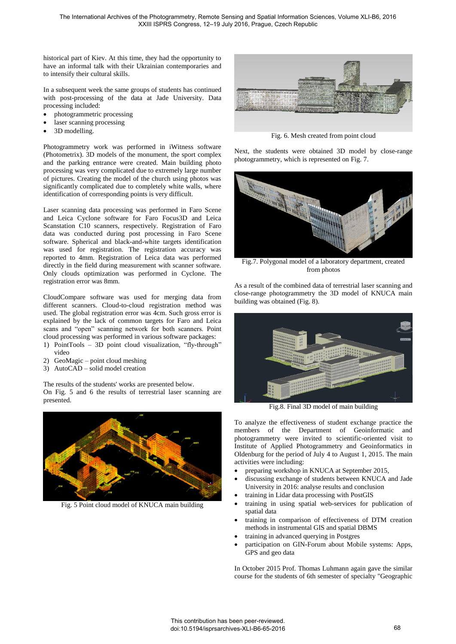historical part of Kiev. At this time, they had the opportunity to have an informal talk with their Ukrainian contemporaries and to intensify their cultural skills.

In a subsequent week the same groups of students has continued with post-processing of the data at Jade University. Data processing included:

- photogrammetric processing
- laser scanning processing
- 3D modelling.

Photogrammetry work was performed in iWitness software (Photometrix). 3D models of the monument, the sport complex and the parking entrance were created. Main building photo processing was very complicated due to extremely large number of pictures. Creating the model of the church using photos was significantly complicated due to completely white walls, where identification of corresponding points is very difficult.

Laser scanning data processing was performed in Faro Scene and Leica Cyclone software for Faro Focus3D and Leica Scanstation C10 scanners, respectively. Registration of Faro data was conducted during post processing in Faro Scene software. Spherical and black-and-white targets identification was used for registration. The registration accuracy was reported to 4mm. Registration of Leica data was performed directly in the field during measurement with scanner software. Only clouds optimization was performed in Cyclone. The registration error was 8mm.

CloudCompare software was used for merging data from different scanners. Cloud-to-cloud registration method was used. The global registration error was 4cm. Such gross error is explained by the lack of common targets for Faro and Leica scans and "open" scanning network for both scanners. Point cloud processing was performed in various software packages:

- 1) PointTools 3D point cloud visualization, "fly-through" video
- 2) GeoMagic point cloud meshing
- 3) AutoCAD solid model creation

The results of the students' works are presented below.

On Fig. 5 and 6 the results of terrestrial laser scanning are presented.



Fig. 5 Point cloud model of KNUCA main building



Fig. 6. Mesh created from point cloud

Next, the students were obtained 3D model by close-range photogrammetry, which is represented on Fig. 7.



Fig.7. Polygonal model of a laboratory department, created from photos

As a result of the combined data of terrestrial laser scanning and close-range photogrammetry the 3D model of KNUCA main building was obtained (Fig. 8).



Fig.8. Final 3D model of main building

To analyze the effectiveness of student exchange practice the members of the Department of Geoinformatic and photogrammetry were invited to scientific-oriented visit to Institute of Applied Photogrammetry and Geoinformatics in Oldenburg for the period of July 4 to August 1, 2015. The main activities were including:

- preparing workshop in KNUCA at September 2015,
- discussing exchange of students between KNUCA and Jade University in 2016: analyse results and conclusion
- training in Lidar data processing with PostGIS
- training in using spatial web-services for publication of spatial data
- training in comparison of effectiveness of DTM creation methods in instrumental GIS and spatial DBMS
- training in advanced querying in Postgres
- participation on GIN-Forum about Mobile systems: Apps, GPS and geo data

In October 2015 Prof. Thomas Luhmann again gave the similar course for the students of 6th semester of specialty "Geographic